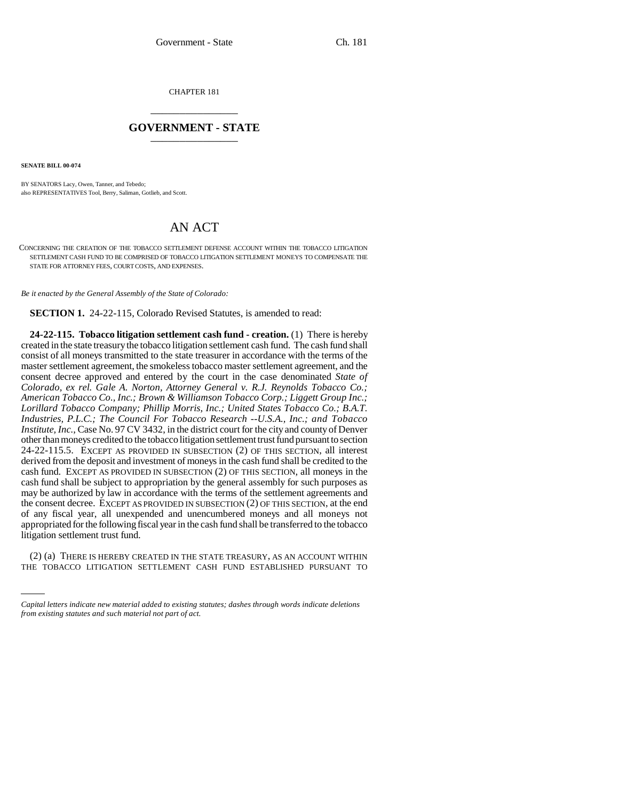CHAPTER 181 \_\_\_\_\_\_\_\_\_\_\_\_\_\_\_

## **GOVERNMENT - STATE** \_\_\_\_\_\_\_\_\_\_\_\_\_\_\_

**SENATE BILL 00-074** 

BY SENATORS Lacy, Owen, Tanner, and Tebedo; also REPRESENTATIVES Tool, Berry, Saliman, Gotlieb, and Scott.

## AN ACT

CONCERNING THE CREATION OF THE TOBACCO SETTLEMENT DEFENSE ACCOUNT WITHIN THE TOBACCO LITIGATION SETTLEMENT CASH FUND TO BE COMPRISED OF TOBACCO LITIGATION SETTLEMENT MONEYS TO COMPENSATE THE STATE FOR ATTORNEY FEES, COURT COSTS, AND EXPENSES.

*Be it enacted by the General Assembly of the State of Colorado:*

**SECTION 1.** 24-22-115, Colorado Revised Statutes, is amended to read:

**24-22-115. Tobacco litigation settlement cash fund - creation.** (1) There is hereby created in the state treasury the tobacco litigation settlement cash fund. The cash fund shall consist of all moneys transmitted to the state treasurer in accordance with the terms of the master settlement agreement, the smokeless tobacco master settlement agreement, and the consent decree approved and entered by the court in the case denominated *State of Colorado, ex rel. Gale A. Norton, Attorney General v. R.J. Reynolds Tobacco Co.; American Tobacco Co., Inc.; Brown & Williamson Tobacco Corp.; Liggett Group Inc.; Lorillard Tobacco Company; Phillip Morris, Inc.; United States Tobacco Co.; B.A.T. Industries, P.L.C.; The Council For Tobacco Research --U.S.A., Inc.; and Tobacco Institute, Inc.*, Case No. 97 CV 3432, in the district court for the city and county of Denver other than moneys credited to the tobacco litigation settlement trust fund pursuant to section 24-22-115.5. EXCEPT AS PROVIDED IN SUBSECTION (2) OF THIS SECTION, all interest derived from the deposit and investment of moneys in the cash fund shall be credited to the cash fund. EXCEPT AS PROVIDED IN SUBSECTION (2) OF THIS SECTION, all moneys in the cash fund shall be subject to appropriation by the general assembly for such purposes as may be authorized by law in accordance with the terms of the settlement agreements and the consent decree. EXCEPT AS PROVIDED IN SUBSECTION (2) OF THIS SECTION, at the end of any fiscal year, all unexpended and unencumbered moneys and all moneys not appropriated for the following fiscal year in the cash fund shall be transferred to the tobacco litigation settlement trust fund.

(2) (a) THERE IS HEREBY CREATED IN THE STATE TREASURY, AS AN ACCOUNT WITHIN THE TOBACCO LITIGATION SETTLEMENT CASH FUND ESTABLISHED PURSUANT TO

*Capital letters indicate new material added to existing statutes; dashes through words indicate deletions from existing statutes and such material not part of act.*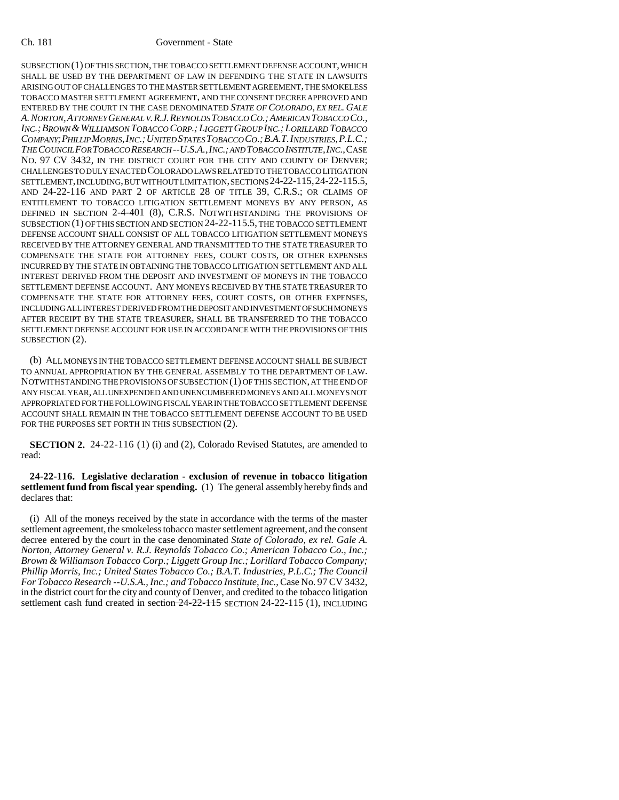## Ch. 181 Government - State

SUBSECTION (1) OF THIS SECTION, THE TOBACCO SETTLEMENT DEFENSE ACCOUNT, WHICH SHALL BE USED BY THE DEPARTMENT OF LAW IN DEFENDING THE STATE IN LAWSUITS ARISING OUT OF CHALLENGES TO THE MASTER SETTLEMENT AGREEMENT, THE SMOKELESS TOBACCO MASTER SETTLEMENT AGREEMENT, AND THE CONSENT DECREE APPROVED AND ENTERED BY THE COURT IN THE CASE DENOMINATED *STATE OF COLORADO, EX REL. GALE A.NORTON,ATTORNEY GENERAL V.R.J.REYNOLDS TOBACCO CO.;AMERICAN TOBACCO CO., INC.;BROWN &WILLIAMSON TOBACCO CORP.; LIGGETT GROUP INC.; LORILLARD TOBACCO COMPANY;PHILLIP MORRIS,INC.;UNITED STATES TOBACCO CO.;B.A.T.INDUSTRIES,P.L.C.; THE COUNCIL FOR TOBACCO RESEARCH --U.S.A.,INC.; AND TOBACCO INSTITUTE,INC.*,CASE NO. 97 CV 3432, IN THE DISTRICT COURT FOR THE CITY AND COUNTY OF DENVER; CHALLENGES TO DULY ENACTED COLORADO LAWS RELATED TO THE TOBACCO LITIGATION SETTLEMENT, INCLUDING, BUT WITHOUT LIMITATION, SECTIONS 24-22-115,24-22-115.5, AND 24-22-116 AND PART 2 OF ARTICLE 28 OF TITLE 39, C.R.S.; OR CLAIMS OF ENTITLEMENT TO TOBACCO LITIGATION SETTLEMENT MONEYS BY ANY PERSON, AS DEFINED IN SECTION 2-4-401 (8), C.R.S. NOTWITHSTANDING THE PROVISIONS OF SUBSECTION (1) OF THIS SECTION AND SECTION 24-22-115.5, THE TOBACCO SETTLEMENT DEFENSE ACCOUNT SHALL CONSIST OF ALL TOBACCO LITIGATION SETTLEMENT MONEYS RECEIVED BY THE ATTORNEY GENERAL AND TRANSMITTED TO THE STATE TREASURER TO COMPENSATE THE STATE FOR ATTORNEY FEES, COURT COSTS, OR OTHER EXPENSES INCURRED BY THE STATE IN OBTAINING THE TOBACCO LITIGATION SETTLEMENT AND ALL INTEREST DERIVED FROM THE DEPOSIT AND INVESTMENT OF MONEYS IN THE TOBACCO SETTLEMENT DEFENSE ACCOUNT. ANY MONEYS RECEIVED BY THE STATE TREASURER TO COMPENSATE THE STATE FOR ATTORNEY FEES, COURT COSTS, OR OTHER EXPENSES, INCLUDING ALL INTEREST DERIVED FROM THE DEPOSIT AND INVESTMENT OF SUCH MONEYS AFTER RECEIPT BY THE STATE TREASURER, SHALL BE TRANSFERRED TO THE TOBACCO SETTLEMENT DEFENSE ACCOUNT FOR USE IN ACCORDANCE WITH THE PROVISIONS OF THIS SUBSECTION  $(2)$ .

(b) ALL MONEYS IN THE TOBACCO SETTLEMENT DEFENSE ACCOUNT SHALL BE SUBJECT TO ANNUAL APPROPRIATION BY THE GENERAL ASSEMBLY TO THE DEPARTMENT OF LAW. NOTWITHSTANDING THE PROVISIONS OF SUBSECTION (1) OF THIS SECTION, AT THE END OF ANY FISCAL YEAR, ALL UNEXPENDED AND UNENCUMBERED MONEYS AND ALL MONEYS NOT APPROPRIATED FOR THE FOLLOWING FISCAL YEAR IN THE TOBACCO SETTLEMENT DEFENSE ACCOUNT SHALL REMAIN IN THE TOBACCO SETTLEMENT DEFENSE ACCOUNT TO BE USED FOR THE PURPOSES SET FORTH IN THIS SUBSECTION (2).

**SECTION 2.** 24-22-116 (1) (i) and (2), Colorado Revised Statutes, are amended to read:

**24-22-116. Legislative declaration - exclusion of revenue in tobacco litigation settlement fund from fiscal year spending.** (1) The general assembly hereby finds and declares that:

(i) All of the moneys received by the state in accordance with the terms of the master settlement agreement, the smokeless tobacco master settlement agreement, and the consent decree entered by the court in the case denominated *State of Colorado, ex rel. Gale A. Norton, Attorney General v. R.J. Reynolds Tobacco Co.; American Tobacco Co., Inc.; Brown & Williamson Tobacco Corp.; Liggett Group Inc.; Lorillard Tobacco Company; Phillip Morris, Inc.; United States Tobacco Co.; B.A.T. Industries, P.L.C.; The Council For Tobacco Research --U.S.A., Inc.; and Tobacco Institute, Inc.*, Case No. 97 CV 3432, in the district court for the city and county of Denver, and credited to the tobacco litigation settlement cash fund created in section 24-22-115 SECTION 24-22-115 (1), INCLUDING